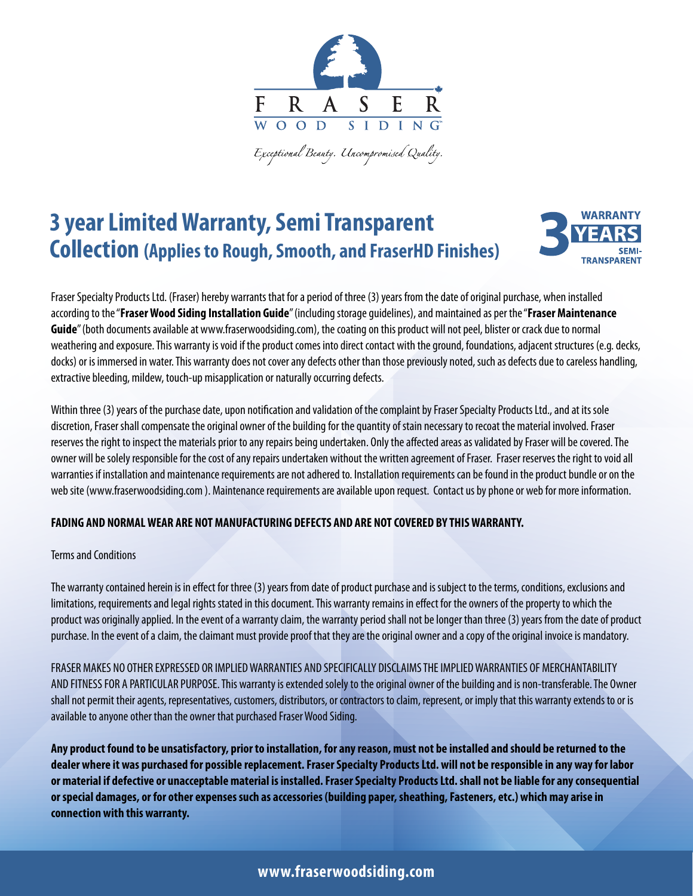

Exceptional Beauty. Uncompromised Quality.

# **3 year Limited Warranty, Semi Transparent Collection (Applies to Rough, Smooth, and FraserHD Finishes)**



Fraser Specialty Products Ltd. (Fraser) hereby warrants that for a period of three (3) years from the date of original purchase, when installed according to the "**Fraser Wood Siding Installation Guide**" (including storage guidelines), and maintained as per the "**Fraser Maintenance**  Guide" (both documents available at www.fraserwoodsiding.com), the coating on this product will not peel, blister or crack due to normal weathering and exposure. This warranty is void if the product comes into direct contact with the ground, foundations, adjacent structures (e.g. decks, docks) or is immersed in water. This warranty does not cover any defects other than those previously noted, such as defects due to careless handling, extractive bleeding, mildew, touch-up misapplication or naturally occurring defects.

Within three (3) years of the purchase date, upon notification and validation of the complaint by Fraser Specialty Products Ltd., and at its sole discretion, Fraser shall compensate the original owner of the building for the quantity of stain necessary to recoat the material involved. Fraser reserves the right to inspect the materials prior to any repairs being undertaken. Only the affected areas as validated by Fraser will be covered. The owner will be solely responsible for the cost of any repairs undertaken without the written agreement of Fraser. Fraser reserves the right to void all warranties if installation and maintenance requirements are not adhered to. Installation requirements can be found in the product bundle or on the web site (www.fraserwoodsiding.com ). Maintenance requirements are available upon request. Contact us by phone or web for more information.

### **FADING AND NORMAL WEAR ARE NOT MANUFACTURING DEFECTS AND ARE NOT COVERED BY THIS WARRANTY.**

#### Terms and Conditions

The warranty contained herein is in effect for three (3) years from date of product purchase and is subject to the terms, conditions, exclusions and limitations, requirements and legal rights stated in this document. This warranty remains in effect for the owners of the property to which the product was originally applied. In the event of a warranty claim, the warranty period shall not be longer than three (3) years from the date of product purchase. In the event of a claim, the claimant must provide proof that they are the original owner and a copy of the original invoice is mandatory.

FRASER MAKES NO OTHER EXPRESSED OR IMPLIED WARRANTIES AND SPECIFICALLY DISCLAIMS THE IMPLIED WARRANTIES OF MERCHANTABILITY AND FITNESS FOR A PARTICULAR PURPOSE. This warranty is extended solely to the original owner of the building and is non-transferable. The Owner shall not permit their agents, representatives, customers, distributors, or contractors to claim, represent, or imply that this warranty extends to or is available to anyone other than the owner that purchased Fraser Wood Siding.

**Any product found to be unsatisfactory, prior to installation, for any reason, must not be installed and should be returned to the dealer where it was purchased for possible replacement. Fraser Specialty Products Ltd. will not be responsible in any way for labor or material if defective or unacceptable material is installed. Fraser Specialty Products Ltd. shall not be liable for any consequential or special damages, or for other expenses such as accessories (building paper, sheathing, Fasteners, etc.) which may arise in connection with this warranty.** 

## **www.fraserwoodsiding.com**